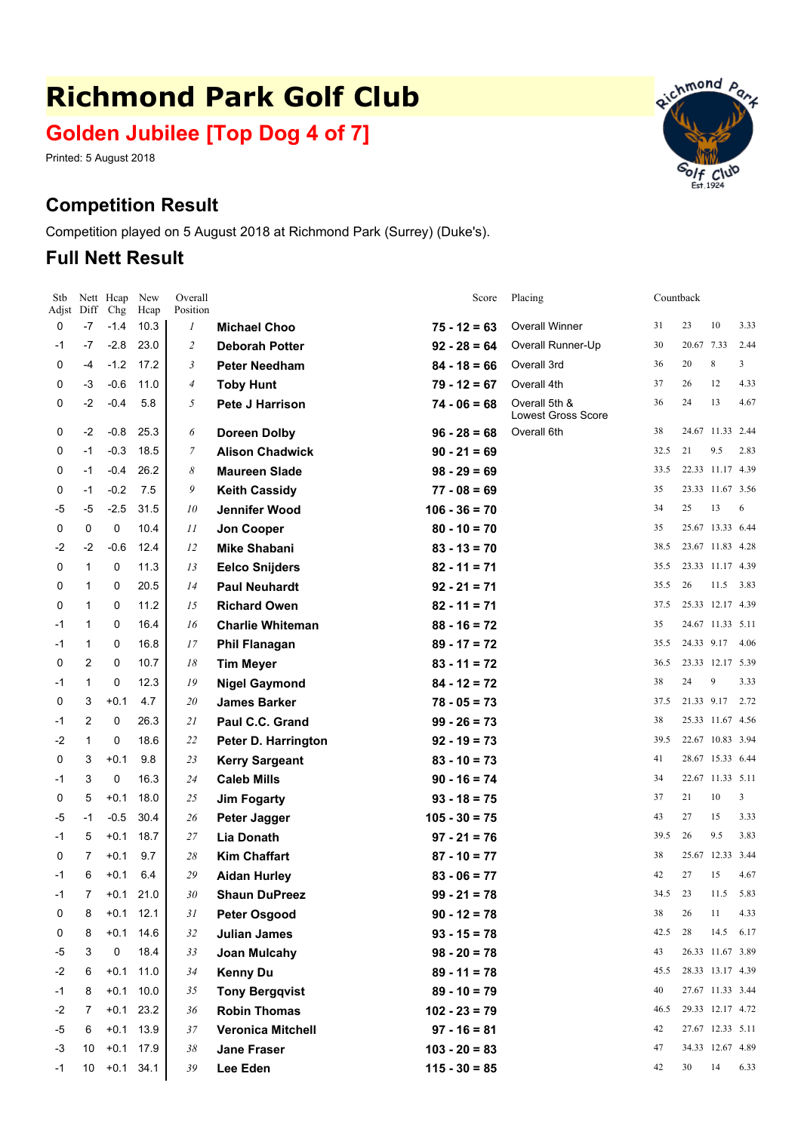# **Richmond Park Golf Club**

# **Golden Jubilee [Top Dog 4 of 7]**

Overall

Printed: 5 August 2018

## **Competition Result**

Adjst Diff Chg Hcap Position Nett Hcap New

Competition played on 5 August 2018 at Richmond Park (Surrey) (Duke's).

#### **Full Nett Result**

Stb

| 0    | -7           | $-1.4$ | 10.3        | 1              | <b>Michael Choo</b>      | $75 - 12 = 63$  | <b>Overall Winner</b>                      | 31   | 23         | 10               | 3.33 |
|------|--------------|--------|-------------|----------------|--------------------------|-----------------|--------------------------------------------|------|------------|------------------|------|
| $-1$ | -7           | $-2.8$ | 23.0        | $\overline{c}$ | <b>Deborah Potter</b>    | $92 - 28 = 64$  | Overall Runner-Up                          | 30   | 20.67 7.33 |                  | 2.44 |
| 0    | -4           | $-1.2$ | 17.2        | 3              | <b>Peter Needham</b>     | $84 - 18 = 66$  | Overall 3rd                                | 36   | 20         | 8                | 3    |
| 0    | -3           | $-0.6$ | 11.0        | 4              | <b>Toby Hunt</b>         | $79 - 12 = 67$  | Overall 4th                                | 37   | 26         | 12               | 4.33 |
| 0    | $-2$         | $-0.4$ | 5.8         | 5              | Pete J Harrison          | $74 - 06 = 68$  | Overall 5th &<br><b>Lowest Gross Score</b> | 36   | 24         | 13               | 4.67 |
| 0    | -2           | $-0.8$ | 25.3        | 6              | <b>Doreen Dolby</b>      | $96 - 28 = 68$  | Overall 6th                                | 38   |            | 24.67 11.33 2.44 |      |
| 0    | $-1$         | $-0.3$ | 18.5        | 7              | <b>Alison Chadwick</b>   | $90 - 21 = 69$  |                                            | 32.5 | 21         | 9.5              | 2.83 |
| 0    | $-1$         | $-0.4$ | 26.2        | 8              | <b>Maureen Slade</b>     | $98 - 29 = 69$  |                                            | 33.5 |            | 22.33 11.17 4.39 |      |
| 0    | $-1$         | $-0.2$ | 7.5         | 9              | <b>Keith Cassidy</b>     | $77 - 08 = 69$  |                                            | 35   |            | 23.33 11.67 3.56 |      |
| -5   | -5           | $-2.5$ | 31.5        | 10             | Jennifer Wood            | $106 - 36 = 70$ |                                            | 34   | 25         | 13               | 6    |
| 0    | 0            | 0      | 10.4        | 11             | Jon Cooper               | $80 - 10 = 70$  |                                            | 35   |            | 25.67 13.33 6.44 |      |
| $-2$ | $-2$         | $-0.6$ | 12.4        | 12             | <b>Mike Shabani</b>      | $83 - 13 = 70$  |                                            | 38.5 |            | 23.67 11.83 4.28 |      |
| 0    | $\mathbf{1}$ | 0      | 11.3        | 13             | <b>Eelco Snijders</b>    | $82 - 11 = 71$  |                                            | 35.5 |            | 23.33 11.17 4.39 |      |
| 0    | $\mathbf{1}$ | 0      | 20.5        | 14             | <b>Paul Neuhardt</b>     | $92 - 21 = 71$  |                                            | 35.5 | 26         | 11.5 3.83        |      |
| 0    | $\mathbf{1}$ | 0      | 11.2        | 15             | <b>Richard Owen</b>      | $82 - 11 = 71$  |                                            | 37.5 |            | 25.33 12.17 4.39 |      |
| -1   | $\mathbf{1}$ | 0      | 16.4        | 16             | <b>Charlie Whiteman</b>  | $88 - 16 = 72$  |                                            | 35   |            | 24.67 11.33 5.11 |      |
| -1   | $\mathbf{1}$ | 0      | 16.8        | 17             | <b>Phil Flanagan</b>     | $89 - 17 = 72$  |                                            | 35.5 |            | 24.33 9.17 4.06  |      |
| 0    | 2            | 0      | 10.7        | 18             | <b>Tim Meyer</b>         | $83 - 11 = 72$  |                                            | 36.5 |            | 23.33 12.17 5.39 |      |
| -1   | $\mathbf{1}$ | 0      | 12.3        | 19             | <b>Nigel Gaymond</b>     | $84 - 12 = 72$  |                                            | 38   | 24         | 9                | 3.33 |
| 0    | 3            | $+0.1$ | 4.7         | 20             | <b>James Barker</b>      | $78 - 05 = 73$  |                                            | 37.5 |            | 21.33 9.17       | 2.72 |
| $-1$ | 2            | 0      | 26.3        | 21             | Paul C.C. Grand          | $99 - 26 = 73$  |                                            | 38   |            | 25.33 11.67 4.56 |      |
| -2   | $\mathbf{1}$ | 0      | 18.6        | 22             | Peter D. Harrington      | $92 - 19 = 73$  |                                            | 39.5 |            | 22.67 10.83 3.94 |      |
| 0    | 3            | $+0.1$ | 9.8         | 23             | <b>Kerry Sargeant</b>    | $83 - 10 = 73$  |                                            | 41   |            | 28.67 15.33 6.44 |      |
| -1   | 3            | 0      | 16.3        | 24             | <b>Caleb Mills</b>       | $90 - 16 = 74$  |                                            | 34   |            | 22.67 11.33 5.11 |      |
| 0    | 5            | $+0.1$ | 18.0        | 25             | <b>Jim Fogarty</b>       | $93 - 18 = 75$  |                                            | 37   | 21         | 10               | 3    |
| -5   | $-1$         | $-0.5$ | 30.4        | 26             | Peter Jagger             | $105 - 30 = 75$ |                                            | 43   | 27         | 15               | 3.33 |
| -1   | 5            | $+0.1$ | 18.7        | 27             | Lia Donath               | $97 - 21 = 76$  |                                            | 39.5 | 26         | 9.5              | 3.83 |
| 0    | 7            | $+0.1$ | 9.7         | 28             | <b>Kim Chaffart</b>      | $87 - 10 = 77$  |                                            | 38   | 25.67      | 12.33 3.44       |      |
| -1   | 6            | $+0.1$ | 6.4         | 29             | <b>Aidan Hurley</b>      | $83 - 06 = 77$  |                                            | 42   | 27         | 15               | 4.67 |
| -1   | 7            | $+0.1$ | 21.0        | 30             | <b>Shaun DuPreez</b>     | $99 - 21 = 78$  |                                            | 34.5 | 23         | 11.5             | 5.83 |
| 0    | 8            | $+0.1$ | 12.1        | 31             | <b>Peter Osgood</b>      | $90 - 12 = 78$  |                                            | 38   | 26         | 11               | 4.33 |
| 0    | 8            | $+0.1$ | 14.6        | 32             | <b>Julian James</b>      | $93 - 15 = 78$  |                                            | 42.5 | 28         | 14.5 6.17        |      |
| -5   | 3            | 0      | 18.4        | 33             | <b>Joan Mulcahy</b>      | $98 - 20 = 78$  |                                            | 43   |            | 26.33 11.67 3.89 |      |
| -2   | 6            | $+0.1$ | 11.0        | 34             | <b>Kenny Du</b>          | $89 - 11 = 78$  |                                            | 45.5 |            | 28.33 13.17 4.39 |      |
| -1   | 8            | $+0.1$ | 10.0        | 35             | <b>Tony Bergqvist</b>    | $89 - 10 = 79$  |                                            | 40   |            | 27.67 11.33 3.44 |      |
| -2   | 7            |        | $+0.1$ 23.2 | 36             | <b>Robin Thomas</b>      | $102 - 23 = 79$ |                                            | 46.5 |            | 29.33 12.17 4.72 |      |
| -5   | 6            | $+0.1$ | 13.9        | 37             | <b>Veronica Mitchell</b> | $97 - 16 = 81$  |                                            | 42   |            | 27.67 12.33 5.11 |      |
| -3   | 10           |        | $+0.1$ 17.9 | 38             | <b>Jane Fraser</b>       | $103 - 20 = 83$ |                                            | 47   |            | 34.33 12.67 4.89 |      |

-1 10 +0.1 34.1 *39* **Lee Eden 115 - 30 <sup>=</sup> 85** <sup>42</sup> 30 <sup>14</sup> 6.33



Score Placing Countback